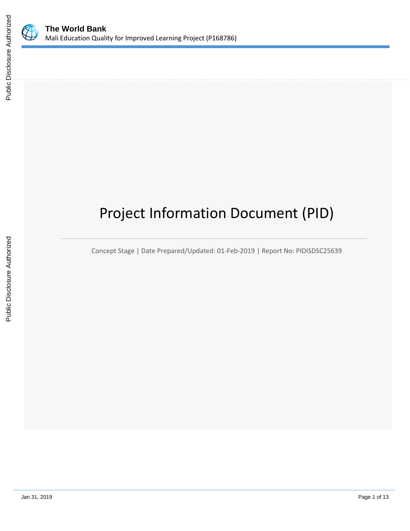

# Project Information Document (PID)

Concept Stage | Date Prepared/Updated: 01-Feb-2019 | Report No: PIDISDSC25639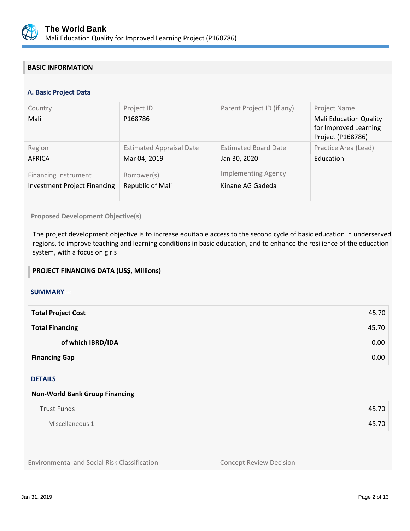

## **BASIC INFORMATION**

#### **A. Basic Project Data**

| Country<br>Mali                     | Project ID<br>P168786           | Parent Project ID (if any)  | Project Name<br><b>Mali Education Quality</b><br>for Improved Learning<br>Project (P168786) |
|-------------------------------------|---------------------------------|-----------------------------|---------------------------------------------------------------------------------------------|
| Region                              | <b>Estimated Appraisal Date</b> | <b>Estimated Board Date</b> | Practice Area (Lead)                                                                        |
| AFRICA                              | Mar 04, 2019                    | Jan 30, 2020                | Education                                                                                   |
| <b>Financing Instrument</b>         | Borrower(s)                     | <b>Implementing Agency</b>  |                                                                                             |
| <b>Investment Project Financing</b> | Republic of Mali                | Kinane AG Gadeda            |                                                                                             |

#### **Proposed Development Objective(s)**

The project development objective is to increase equitable access to the second cycle of basic education in underserved regions, to improve teaching and learning conditions in basic education, and to enhance the resilience of the education system, with a focus on girls

#### **PROJECT FINANCING DATA (US\$, Millions)**

#### **SUMMARY**

| <b>Total Project Cost</b> | 45.70 |
|---------------------------|-------|
| <b>Total Financing</b>    | 45.70 |
| of which IBRD/IDA         | 0.00  |
| <b>Financing Gap</b>      | 0.00  |

#### DETAILS

#### **Non-World Bank Group Financing**

| <b>Trust Funds</b> | 45.70         |
|--------------------|---------------|
| Miscellaneous 1    | $+5.70$<br>45 |

Environmental and Social Risk Classification **Concept Review Decision**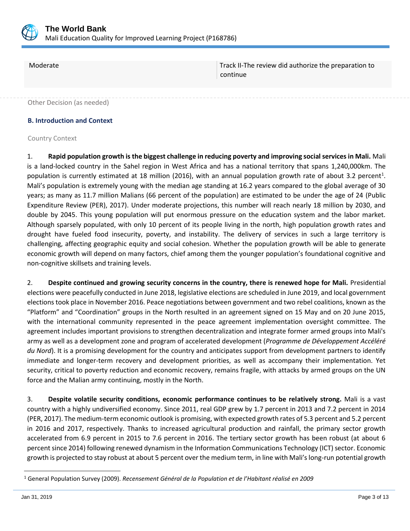

Moderate Track II-The review did authorize the preparation to continue

Other Decision (as needed)

#### **B. Introduction and Context**

#### Country Context

1. **Rapid population growth is the biggest challenge in reducing poverty and improving social services in Mali.** Mali is a land-locked country in the Sahel region in West Africa and has a national territory that spans 1,240,000km. The population is currently estimated at 18 million (2016), with an annual population growth rate of about 3.2 percent<sup>1</sup>. Mali's population is extremely young with the median age standing at 16.2 years compared to the global average of 30 years; as many as 11.7 million Malians (66 percent of the population) are estimated to be under the age of 24 (Public Expenditure Review (PER), 2017). Under moderate projections, this number will reach nearly 18 million by 2030, and double by 2045. This young population will put enormous pressure on the education system and the labor market. Although sparsely populated, with only 10 percent of its people living in the north, high population growth rates and drought have fueled food insecurity, poverty, and instability. The delivery of services in such a large territory is challenging, affecting geographic equity and social cohesion. Whether the population growth will be able to generate economic growth will depend on many factors, chief among them the younger population's foundational cognitive and non-cognitive skillsets and training levels.

2. **Despite continued and growing security concerns in the country, there is renewed hope for Mali.** Presidential elections were peacefully conducted in June 2018, legislative elections are scheduled in June 2019, and local government elections took place in November 2016. Peace negotiations between government and two rebel coalitions, known as the "Platform" and "Coordination" groups in the North resulted in an agreement signed on 15 May and on 20 June 2015, with the international community represented in the peace agreement implementation oversight committee. The agreement includes important provisions to strengthen decentralization and integrate former armed groups into Mali's army as well as a development zone and program of accelerated development (*Programme de Développement Accéléré du Nord*). It is a promising development for the country and anticipates support from development partners to identify immediate and longer-term recovery and development priorities, as well as accompany their implementation. Yet security, critical to poverty reduction and economic recovery, remains fragile, with attacks by armed groups on the UN force and the Malian army continuing, mostly in the North.

3. **Despite volatile security conditions, economic performance continues to be relatively strong.** Mali is a vast country with a highly undiversified economy. Since 2011, real GDP grew by 1.7 percent in 2013 and 7.2 percent in 2014 (PER, 2017). The medium-term economic outlook is promising, with expected growth rates of 5.3 percent and 5.2 percent in 2016 and 2017, respectively. Thanks to increased agricultural production and rainfall, the primary sector growth accelerated from 6.9 percent in 2015 to 7.6 percent in 2016. The tertiary sector growth has been robust (at about 6 percent since 2014) following renewed dynamism in the Information Communications Technology (ICT) sector. Economic growth is projected to stay robust at about 5 percent over the medium term, in line with Mali's long-run potential growth

 $\overline{a}$ 

<sup>1</sup> General Population Survey (2009). *Recensement Général de la Population et de l'Habitant réalisé en 2009*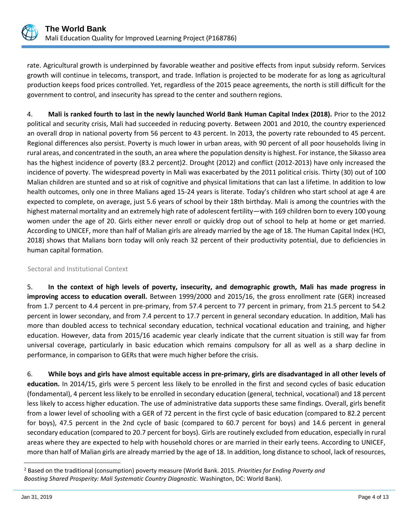

rate. Agricultural growth is underpinned by favorable weather and positive effects from input subsidy reform. Services growth will continue in telecoms, transport, and trade. Inflation is projected to be moderate for as long as agricultural production keeps food prices controlled. Yet, regardless of the 2015 peace agreements, the north is still difficult for the government to control, and insecurity has spread to the center and southern regions.

4. **Mali is ranked fourth to last in the newly launched World Bank Human Capital Index (2018).** Prior to the 2012 political and security crisis, Mali had succeeded in reducing poverty. Between 2001 and 2010, the country experienced an overall drop in national poverty from 56 percent to 43 percent. In 2013, the poverty rate rebounded to 45 percent. Regional differences also persist. Poverty is much lower in urban areas, with 90 percent of all poor households living in rural areas, and concentrated in the south, an area where the population density is highest. For instance, the Sikasso area has the highest incidence of poverty (83.2 percent)2. Drought (2012) and conflict (2012-2013) have only increased the incidence of poverty. The widespread poverty in Mali was exacerbated by the 2011 political crisis. Thirty (30) out of 100 Malian children are stunted and so at risk of cognitive and physical limitations that can last a lifetime. In addition to low health outcomes, only one in three Malians aged 15-24 years is literate. Today's children who start school at age 4 are expected to complete, on average, just 5.6 years of school by their 18th birthday. Mali is among the countries with the highest maternal mortality and an extremely high rate of adolescent fertility—with 169 children born to every 100 young women under the age of 20. Girls either never enroll or quickly drop out of school to help at home or get married. According to UNICEF, more than half of Malian girls are already married by the age of 18. The Human Capital Index (HCI, 2018) shows that Malians born today will only reach 32 percent of their productivity potential, due to deficiencies in human capital formation.

## Sectoral and Institutional Context

5. **In the context of high levels of poverty, insecurity, and demographic growth, Mali has made progress in improving access to education overall.** Between 1999/2000 and 2015/16, the gross enrollment rate (GER) increased from 1.7 percent to 4.4 percent in pre-primary, from 57.4 percent to 77 percent in primary, from 21.5 percent to 54.2 percent in lower secondary, and from 7.4 percent to 17.7 percent in general secondary education. In addition, Mali has more than doubled access to technical secondary education, technical vocational education and training, and higher education. However, data from 2015/16 academic year clearly indicate that the current situation is still way far from universal coverage, particularly in basic education which remains compulsory for all as well as a sharp decline in performance, in comparison to GERs that were much higher before the crisis.

6. **While boys and girls have almost equitable access in pre-primary, girls are disadvantaged in all other levels of education.** In 2014/15, girls were 5 percent less likely to be enrolled in the first and second cycles of basic education (fondamental), 4 percent less likely to be enrolled in secondary education (general, technical, vocational) and 18 percent less likely to access higher education. The use of administrative data supports these same findings. Overall, girls benefit from a lower level of schooling with a GER of 72 percent in the first cycle of basic education (compared to 82.2 percent for boys), 47.5 percent in the 2nd cycle of basic (compared to 60.7 percent for boys) and 14.6 percent in general secondary education (compared to 20.7 percent for boys). Girls are routinely excluded from education, especially in rural areas where they are expected to help with household chores or are married in their early teens. According to UNICEF, more than half of Malian girls are already married by the age of 18. In addition, long distance to school, lack of resources,

 $\overline{a}$ 

<sup>2</sup> Based on the traditional (consumption) poverty measure (World Bank. 2015. *Priorities for Ending Poverty and Boosting Shared Prosperity: Mali Systematic Country Diagnostic.* Washington, DC: World Bank).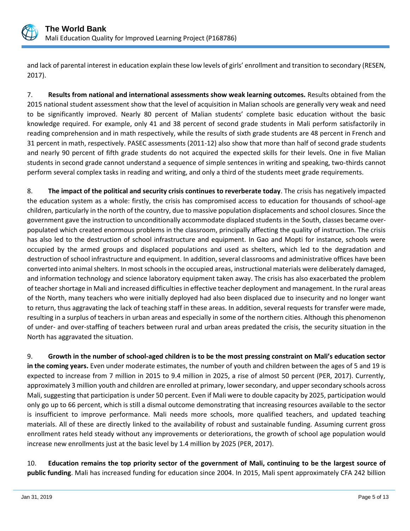

and lack of parental interest in education explain these low levels of girls' enrollment and transition to secondary (RESEN, 2017).

7. **Results from national and international assessments show weak learning outcomes.** Results obtained from the 2015 national student assessment show that the level of acquisition in Malian schools are generally very weak and need to be significantly improved. Nearly 80 percent of Malian students' complete basic education without the basic knowledge required. For example, only 41 and 38 percent of second grade students in Mali perform satisfactorily in reading comprehension and in math respectively, while the results of sixth grade students are 48 percent in French and 31 percent in math, respectively. PASEC assessments (2011-12) also show that more than half of second grade students and nearly 90 percent of fifth grade students do not acquired the expected skills for their levels. One in five Malian students in second grade cannot understand a sequence of simple sentences in writing and speaking, two-thirds cannot perform several complex tasks in reading and writing, and only a third of the students meet grade requirements.

8. **The impact of the political and security crisis continues to reverberate today**. The crisis has negatively impacted the education system as a whole: firstly, the crisis has compromised access to education for thousands of school-age children, particularly in the north of the country, due to massive population displacements and school closures. Since the government gave the instruction to unconditionally accommodate displaced students in the South, classes became overpopulated which created enormous problems in the classroom, principally affecting the quality of instruction. The crisis has also led to the destruction of school infrastructure and equipment. In Gao and Mopti for instance, schools were occupied by the armed groups and displaced populations and used as shelters, which led to the degradation and destruction of school infrastructure and equipment. In addition, several classrooms and administrative offices have been converted into animal shelters. In most schools in the occupied areas, instructional materials were deliberately damaged, and information technology and science laboratory equipment taken away. The crisis has also exacerbated the problem of teacher shortage in Mali and increased difficulties in effective teacher deployment and management. In the rural areas of the North, many teachers who were initially deployed had also been displaced due to insecurity and no longer want to return, thus aggravating the lack of teaching staff in these areas. In addition, several requests for transfer were made, resulting in a surplus of teachers in urban areas and especially in some of the northern cities. Although this phenomenon of under- and over-staffing of teachers between rural and urban areas predated the crisis, the security situation in the North has aggravated the situation.

9. **Growth in the number of school-aged children is to be the most pressing constraint on Mali's education sector in the coming years.** Even under moderate estimates, the number of youth and children between the ages of 5 and 19 is expected to increase from 7 million in 2015 to 9.4 million in 2025, a rise of almost 50 percent (PER, 2017). Currently, approximately 3 million youth and children are enrolled at primary, lower secondary, and upper secondary schools across Mali, suggesting that participation is under 50 percent. Even if Mali were to double capacity by 2025, participation would only go up to 66 percent, which is still a dismal outcome demonstrating that increasing resources available to the sector is insufficient to improve performance. Mali needs more schools, more qualified teachers, and updated teaching materials. All of these are directly linked to the availability of robust and sustainable funding. Assuming current gross enrollment rates held steady without any improvements or deteriorations, the growth of school age population would increase new enrollments just at the basic level by 1.4 million by 2025 (PER, 2017).

10. **Education remains the top priority sector of the government of Mali, continuing to be the largest source of public funding**. Mali has increased funding for education since 2004. In 2015, Mali spent approximately CFA 242 billion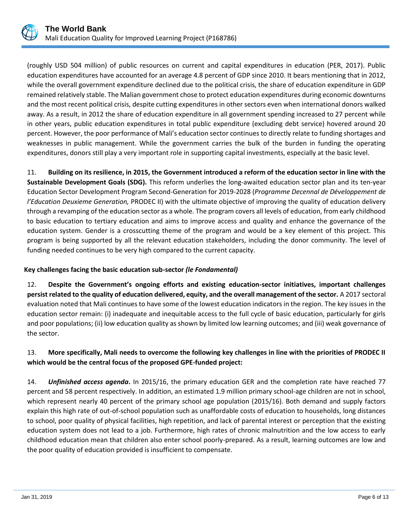

(roughly USD 504 million) of public resources on current and capital expenditures in education (PER, 2017). Public education expenditures have accounted for an average 4.8 percent of GDP since 2010. It bears mentioning that in 2012, while the overall government expenditure declined due to the political crisis, the share of education expenditure in GDP remained relatively stable. The Malian government chose to protect education expenditures during economic downturns and the most recent political crisis, despite cutting expenditures in other sectors even when international donors walked away. As a result, in 2012 the share of education expenditure in all government spending increased to 27 percent while in other years, public education expenditures in total public expenditure (excluding debt service) hovered around 20 percent. However, the poor performance of Mali's education sector continues to directly relate to funding shortages and weaknesses in public management. While the government carries the bulk of the burden in funding the operating expenditures, donors still play a very important role in supporting capital investments, especially at the basic level.

11. **Building on its resilience, in 2015, the Government introduced a reform of the education sector in line with the Sustainable Development Goals (SDG).** This reform underlies the long-awaited education sector plan and its ten-year Education Sector Development Program Second-Generation for 2019-2028 (*Programme Decennal de Développement de l'Education Deuxieme Generation,* PRODEC II) with the ultimate objective of improving the quality of education delivery through a revamping of the education sector as a whole. The program covers all levels of education, from early childhood to basic education to tertiary education and aims to improve access and quality and enhance the governance of the education system. Gender is a crosscutting theme of the program and would be a key element of this project. This program is being supported by all the relevant education stakeholders, including the donor community. The level of funding needed continues to be very high compared to the current capacity.

## **Key challenges facing the basic education sub-sector** *(le Fondamental)*

12. **Despite the Government's ongoing efforts and existing education-sector initiatives, important challenges persist related to the quality of education delivered, equity, and the overall management of the sector.** A 2017 sectoral evaluation noted that Mali continues to have some of the lowest education indicators in the region. The key issues in the education sector remain: (i) inadequate and inequitable access to the full cycle of basic education, particularly for girls and poor populations; (ii) low education quality as shown by limited low learning outcomes; and (iii) weak governance of the sector.

## 13. **More specifically, Mali needs to overcome the following key challenges in line with the priorities of PRODEC II which would be the central focus of the proposed GPE-funded project:**

14. *Unfinished access agenda***.** In 2015/16, the primary education GER and the completion rate have reached 77 percent and 58 percent respectively. In addition, an estimated 1.9 million primary school-age children are not in school, which represent nearly 40 percent of the primary school age population (2015/16). Both demand and supply factors explain this high rate of out-of-school population such as unaffordable costs of education to households, long distances to school, poor quality of physical facilities, high repetition, and lack of parental interest or perception that the existing education system does not lead to a job. Furthermore, high rates of chronic malnutrition and the low access to early childhood education mean that children also enter school poorly-prepared. As a result, learning outcomes are low and the poor quality of education provided is insufficient to compensate.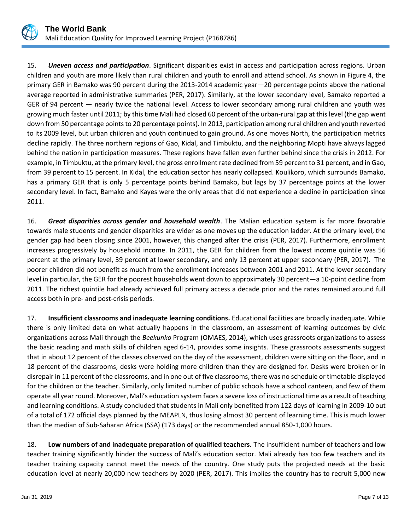

15. *Uneven access and participation*. Significant disparities exist in access and participation across regions. Urban children and youth are more likely than rural children and youth to enroll and attend school. As shown in Figure 4, the primary GER in Bamako was 90 percent during the 2013-2014 academic year—20 percentage points above the national average reported in administrative summaries (PER, 2017). Similarly, at the lower secondary level, Bamako reported a GER of 94 percent — nearly twice the national level. Access to lower secondary among rural children and youth was growing much faster until 2011; by this time Mali had closed 60 percent of the urban-rural gap at this level (the gap went down from 50 percentage points to 20 percentage points). In 2013, participation among rural children and youth reverted to its 2009 level, but urban children and youth continued to gain ground. As one moves North, the participation metrics decline rapidly. The three northern regions of Gao, Kidal, and Timbuktu, and the neighboring Mopti have always lagged behind the nation in participation measures. These regions have fallen even further behind since the crisis in 2012. For example, in Timbuktu, at the primary level, the gross enrollment rate declined from 59 percent to 31 percent, and in Gao, from 39 percent to 15 percent. In Kidal, the education sector has nearly collapsed. Koulikoro, which surrounds Bamako, has a primary GER that is only 5 percentage points behind Bamako, but lags by 37 percentage points at the lower secondary level. In fact, Bamako and Kayes were the only areas that did not experience a decline in participation since 2011.

16. *Great disparities across gender and household wealth*. The Malian education system is far more favorable towards male students and gender disparities are wider as one moves up the education ladder. At the primary level, the gender gap had been closing since 2001, however, this changed after the crisis (PER, 2017). Furthermore, enrollment increases progressively by household income. In 2011, the GER for children from the lowest income quintile was 56 percent at the primary level, 39 percent at lower secondary, and only 13 percent at upper secondary (PER, 2017). The poorer children did not benefit as much from the enrollment increases between 2001 and 2011. At the lower secondary level in particular, the GER for the poorest households went down to approximately 30 percent—a 10-point decline from 2011. The richest quintile had already achieved full primary access a decade prior and the rates remained around full access both in pre- and post-crisis periods.

17. **Insufficient classrooms and inadequate learning conditions.** Educational facilities are broadly inadequate. While there is only limited data on what actually happens in the classroom, an assessment of learning outcomes by civic organizations across Mali through the *Beekunko* Program (OMAES, 2014), which uses grassroots organizations to assess the basic reading and math skills of children aged 6-14, provides some insights. These grassroots assessments suggest that in about 12 percent of the classes observed on the day of the assessment, children were sitting on the floor, and in 18 percent of the classrooms, desks were holding more children than they are designed for. Desks were broken or in disrepair in 11 percent of the classrooms, and in one out of five classrooms, there was no schedule or timetable displayed for the children or the teacher. Similarly, only limited number of public schools have a school canteen, and few of them operate all year round. Moreover, Mali's education system faces a severe loss of instructional time as a result of teaching and learning conditions. A study concluded that students in Mali only benefited from 122 days of learning in 2009-10 out of a total of 172 official days planned by the MEAPLN, thus losing almost 30 percent of learning time. This is much lower than the median of Sub-Saharan Africa (SSA) (173 days) or the recommended annual 850-1,000 hours.

18. **Low numbers of and inadequate preparation of qualified teachers.** The insufficient number of teachers and low teacher training significantly hinder the success of Mali's education sector. Mali already has too few teachers and its teacher training capacity cannot meet the needs of the country. One study puts the projected needs at the basic education level at nearly 20,000 new teachers by 2020 (PER, 2017). This implies the country has to recruit 5,000 new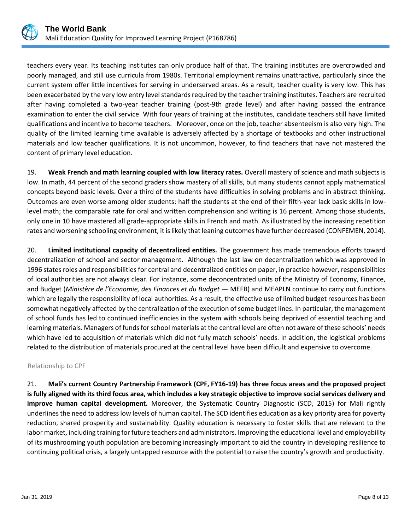

teachers every year. Its teaching institutes can only produce half of that. The training institutes are overcrowded and poorly managed, and still use curricula from 1980s. Territorial employment remains unattractive, particularly since the current system offer little incentives for serving in underserved areas. As a result, teacher quality is very low. This has been exacerbated by the very low entry level standards required by the teacher training institutes. Teachers are recruited after having completed a two-year teacher training (post-9th grade level) and after having passed the entrance examination to enter the civil service. With four years of training at the institutes, candidate teachers still have limited qualifications and incentive to become teachers. Moreover, once on the job, teacher absenteeism is also very high. The quality of the limited learning time available is adversely affected by a shortage of textbooks and other instructional materials and low teacher qualifications. It is not uncommon, however, to find teachers that have not mastered the content of primary level education.

19. **Weak French and math learning coupled with low literacy rates.** Overall mastery of science and math subjects is low. In math, 44 percent of the second graders show mastery of all skills, but many students cannot apply mathematical concepts beyond basic levels. Over a third of the students have difficulties in solving problems and in abstract thinking. Outcomes are even worse among older students: half the students at the end of their fifth-year lack basic skills in lowlevel math; the comparable rate for oral and written comprehension and writing is 16 percent. Among those students, only one in 10 have mastered all grade-appropriate skills in French and math. As illustrated by the increasing repetition rates and worsening schooling environment, it is likely that leaning outcomes have further decreased (CONFEMEN, 2014).

20. **Limited institutional capacity of decentralized entities.** The government has made tremendous efforts toward decentralization of school and sector management. Although the last law on decentralization which was approved in 1996 states roles and responsibilities for central and decentralized entities on paper, in practice however, responsibilities of local authorities are not always clear. For instance, some deconcentrated units of the Ministry of Economy, Finance, and Budget (*Ministère de l'Economie, des Finances et du Budget* — MEFB) and MEAPLN continue to carry out functions which are legally the responsibility of local authorities. As a result, the effective use of limited budget resources has been somewhat negatively affected by the centralization of the execution of some budget lines. In particular, the management of school funds has led to continued inefficiencies in the system with schools being deprived of essential teaching and learning materials. Managers of funds for school materials at the central level are often not aware of these schools' needs which have led to acquisition of materials which did not fully match schools' needs. In addition, the logistical problems related to the distribution of materials procured at the central level have been difficult and expensive to overcome.

#### Relationship to CPF

21. **Mali's current Country Partnership Framework (CPF, FY16-19) has three focus areas and the proposed project is fully aligned with its third focus area, which includes a key strategic objective to improve social services delivery and improve human capital development.** Moreover, the Systematic Country Diagnostic (SCD, 2015) for Mali rightly underlines the need to address low levels of human capital. The SCD identifies education as a key priority area for poverty reduction, shared prosperity and sustainability. Quality education is necessary to foster skills that are relevant to the labor market, including training for future teachers and administrators. Improving the educational level and employability of its mushrooming youth population are becoming increasingly important to aid the country in developing resilience to continuing political crisis, a largely untapped resource with the potential to raise the country's growth and productivity.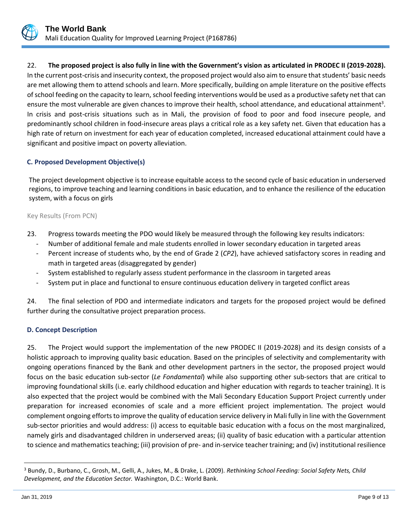

22. **The proposed project is also fully in line with the Government's vision as articulated in PRODEC II (2019-2028).** In the current post-crisis and insecurity context, the proposed project would also aim to ensure that students' basic needs are met allowing them to attend schools and learn. More specifically, building on ample literature on the positive effects of school feeding on the capacity to learn, school feeding interventions would be used as a productive safety net that can ensure the most vulnerable are given chances to improve their health, school attendance, and educational attainment<sup>3</sup>. In crisis and post-crisis situations such as in Mali, the provision of food to poor and food insecure people, and predominantly school children in food-insecure areas plays a critical role as a key safety net. Given that education has a high rate of return on investment for each year of education completed, increased educational attainment could have a significant and positive impact on poverty alleviation.

## **C. Proposed Development Objective(s)**

The project development objective is to increase equitable access to the second cycle of basic education in underserved regions, to improve teaching and learning conditions in basic education, and to enhance the resilience of the education system, with a focus on girls

#### Key Results (From PCN)

- 23. Progress towards meeting the PDO would likely be measured through the following key results indicators:
	- Number of additional female and male students enrolled in lower secondary education in targeted areas
	- Percent increase of students who, by the end of Grade 2 (CP2), have achieved satisfactory scores in reading and math in targeted areas (disaggregated by gender)
	- System established to regularly assess student performance in the classroom in targeted areas
	- System put in place and functional to ensure continuous education delivery in targeted conflict areas

24. The final selection of PDO and intermediate indicators and targets for the proposed project would be defined further during the consultative project preparation process.

#### **D. Concept Description**

25. The Project would support the implementation of the new PRODEC II (2019-2028) and its design consists of a holistic approach to improving quality basic education. Based on the principles of selectivity and complementarity with ongoing operations financed by the Bank and other development partners in the sector, the proposed project would focus on the basic education sub-sector (*Le Fondamental*) while also supporting other sub-sectors that are critical to improving foundational skills (i.e. early childhood education and higher education with regards to teacher training). It is also expected that the project would be combined with the Mali Secondary Education Support Project currently under preparation for increased economies of scale and a more efficient project implementation. The project would complement ongoing efforts to improve the quality of education service delivery in Mali fully in line with the Government sub-sector priorities and would address: (i) access to equitable basic education with a focus on the most marginalized, namely girls and disadvantaged children in underserved areas; (ii) quality of basic education with a particular attention to science and mathematics teaching; (iii) provision of pre- and in-service teacher training; and (iv) institutional resilience

 $\overline{a}$ 

<sup>3</sup> Bundy, D., Burbano, C., Grosh, M., Gelli, A., Jukes, M., & Drake, L. (2009). *Rethinking School Feeding: Social Safety Nets, Child Development, and the Education Sector.* Washington, D.C.: World Bank.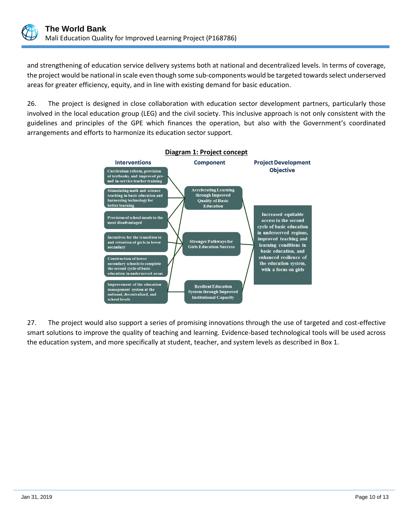

and strengthening of education service delivery systems both at national and decentralized levels. In terms of coverage, the project would be national in scale even though some sub-components would be targeted towards select underserved areas for greater efficiency, equity, and in line with existing demand for basic education.

26. The project is designed in close collaboration with education sector development partners, particularly those involved in the local education group (LEG) and the civil society. This inclusive approach is not only consistent with the guidelines and principles of the GPE which finances the operation, but also with the Government's coordinated arrangements and efforts to harmonize its education sector support.



27. The project would also support a series of promising innovations through the use of targeted and cost-effective smart solutions to improve the quality of teaching and learning. Evidence-based technological tools will be used across the education system, and more specifically at student, teacher, and system levels as described in Box 1.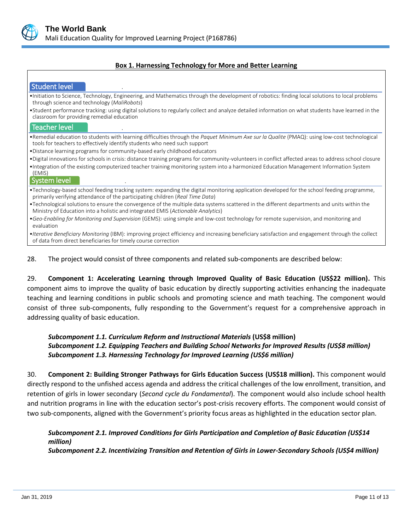

#### **Box 1. Harnessing Technology for More and Better Learning**

| Student level                                                                                                                                                                                                                   |
|---------------------------------------------------------------------------------------------------------------------------------------------------------------------------------------------------------------------------------|
| •Initiation to Science, Technology, Engineering, and Mathematics through the development of robotics: finding local solutions to local problems<br>through science and technology ( <i>MaliRobots</i> )                         |
| •Student performance tracking: using digital solutions to regularly collect and analyze detailed information on what students have learned in the<br>classroom for providing remedial education                                 |
| <b>Teacher level</b>                                                                                                                                                                                                            |
| •Remedial education to students with learning difficulties through the Paquet Minimum Axe sur la Qualite (PMAQ): using low-cost technological<br>tools for teachers to effectively identify students who need such support      |
| . Distance learning programs for community-based early childhood educators                                                                                                                                                      |
| •Digital innovations for schools in crisis: distance training programs for community-volunteers in conflict affected areas to address school closure                                                                            |
| •Integration of the existing computerized teacher training monitoring system into a harmonized Education Management Information System<br>(EMIS)<br>System level                                                                |
| . Technology-based school feeding tracking system: expanding the digital monitoring application developed for the school feeding programme,<br>primarily verifying attendance of the participating children (Real Time Data)    |
| •Technological solutions to ensure the convergence of the multiple data systems scattered in the different departments and units within the<br>Ministry of Education into a holistic and integrated EMIS (Actionable Analytics) |
| •Geo-Enabling for Monitoring and Supervision (GEMS): using simple and low-cost technology for remote supervision, and monitoring and<br>evaluation                                                                              |
| •Iterative Beneficiary Monitoring (IBM): improving project efficiency and increasing beneficiary satisfaction and engagement through the collect<br>of data from direct beneficiaries for timely course correction              |

28. The project would consist of three components and related sub-components are described below:

29. **Component 1: Accelerating Learning through Improved Quality of Basic Education (US\$22 million).** This component aims to improve the quality of basic education by directly supporting activities enhancing the inadequate teaching and learning conditions in public schools and promoting science and math teaching. The component would consist of three sub-components, fully responding to the Government's request for a comprehensive approach in addressing quality of basic education.

## *Subcomponent 1.1. Curriculum Reform and Instructional Materials* **(US\$8 million)** *Subcomponent 1.2. Equipping Teachers and Building School Networks for Improved Results (US\$8 million) Subcomponent 1.3. Harnessing Technology for Improved Learning (US\$6 million)*

30. **Component 2: Building Stronger Pathways for Girls Education Success (US\$18 million).** This component would directly respond to the unfished access agenda and address the critical challenges of the low enrollment, transition, and retention of girls in lower secondary (*Second cycle du Fondamental*). The component would also include school health and nutrition programs in line with the education sector's post-crisis recovery efforts. The component would consist of two sub-components, aligned with the Government's priority focus areas as highlighted in the education sector plan.

*Subcomponent 2.1. Improved Conditions for Girls Participation and Completion of Basic Education (US\$14 million) Subcomponent 2.2. Incentivizing Transition and Retention of Girls in Lower-Secondary Schools (US\$4 million)*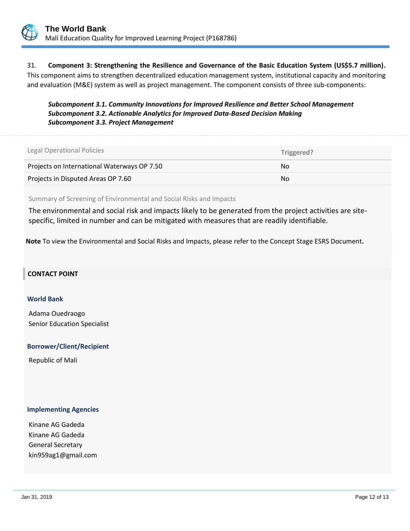

31. **Component 3: Strengthening the Resilience and Governance of the Basic Education System (US\$5.7 million).**  This component aims to strengthen decentralized education management system, institutional capacity and monitoring and evaluation (M&E) system as well as project management. The component consists of three sub-components:

*Subcomponent 3.1. Community Innovations for Improved Resilience and Better School Management Subcomponent 3.2. Actionable Analytics for Improved Data-Based Decision Making Subcomponent 3.3. Project Management*

Legal Operational Policies  **Triggered?** Projects on International Waterways OP 7.50 No No No No Projects in Disputed Areas OP 7.60 No. 2012 12:00:00 No. 2012 12:00:00 No. 2012 12:00:00 No. 2012 12:00:00 No.

Summary of Screening of Environmental and Social Risks and Impacts

The environmental and social risk and impacts likely to be generated from the project activities are sitespecific, limited in number and can be mitigated with measures that are readily identifiable.

**Note** To view the Environmental and Social Risks and Impacts, please refer to the Concept Stage ESRS Document**.**

#### **CONTACT POINT**

#### **World Bank**

Adama Ouedraogo Senior Education Specialist

#### **Borrower/Client/Recipient**

Republic of Mali

#### **Implementing Agencies**

Kinane AG Gadeda Kinane AG Gadeda General Secretary kin959ag1@gmail.com